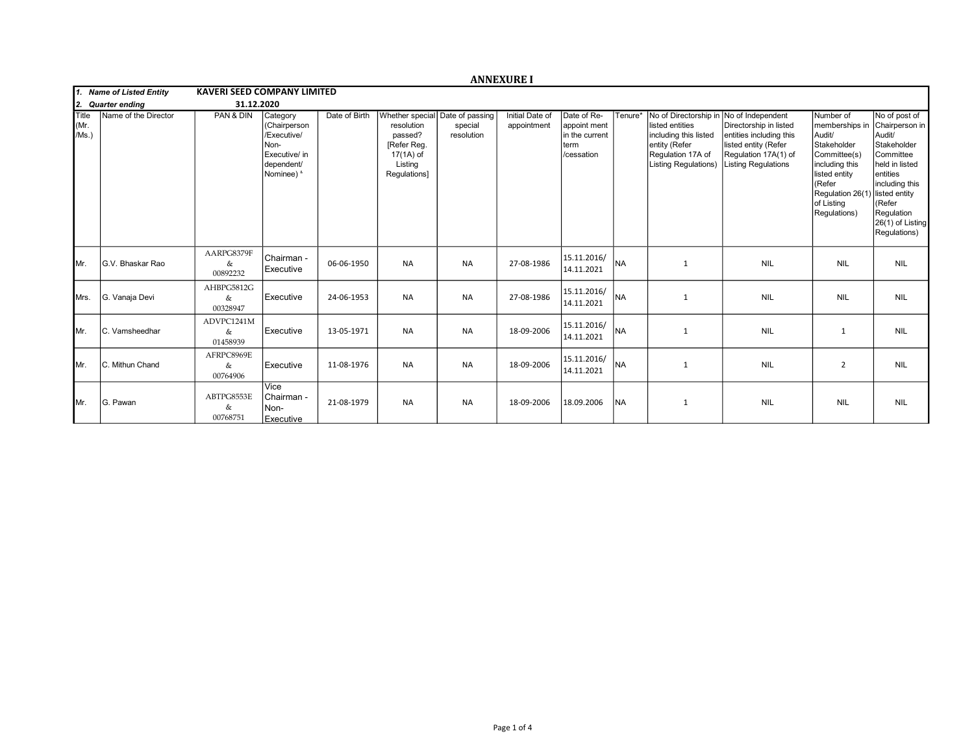|                              |                          |                                    |                                                                                              |               |                                                                                                                 |                       | <b>ANNEXURE I</b>              |                                                                     |           |                                                                                                                                        |                                                                                                                                                      |                                                                                                                                                                                   |                                                                                                                                                                                    |
|------------------------------|--------------------------|------------------------------------|----------------------------------------------------------------------------------------------|---------------|-----------------------------------------------------------------------------------------------------------------|-----------------------|--------------------------------|---------------------------------------------------------------------|-----------|----------------------------------------------------------------------------------------------------------------------------------------|------------------------------------------------------------------------------------------------------------------------------------------------------|-----------------------------------------------------------------------------------------------------------------------------------------------------------------------------------|------------------------------------------------------------------------------------------------------------------------------------------------------------------------------------|
|                              | 1. Name of Listed Entity | <b>KAVERI SEED COMPANY LIMITED</b> |                                                                                              |               |                                                                                                                 |                       |                                |                                                                     |           |                                                                                                                                        |                                                                                                                                                      |                                                                                                                                                                                   |                                                                                                                                                                                    |
| 12.                          | <b>Quarter ending</b>    | 31.12.2020                         |                                                                                              |               |                                                                                                                 |                       |                                |                                                                     |           |                                                                                                                                        |                                                                                                                                                      |                                                                                                                                                                                   |                                                                                                                                                                                    |
| <b>Title</b><br>Mr.<br>/Ms.) | Name of the Director     | PAN & DIN                          | Category<br>(Chairperson<br>/Executive/<br>Non-<br>Executive/ in<br>dependent/<br>Nominee) & | Date of Birth | Whether special Date of passing<br>resolution<br>passed?<br>[Refer Reg.<br>17(1A) of<br>Listing<br>Regulations] | special<br>resolution | Initial Date of<br>appointment | Date of Re-<br>appoint ment<br>in the current<br>term<br>/cessation | Tenure*   | No of Directorship in<br>listed entities<br>including this listed<br>entity (Refer<br>Regulation 17A of<br><b>Listing Regulations)</b> | No of Independent<br>Directorship in listed<br>entities including this<br>listed entity (Refer<br>Regulation 17A(1) of<br><b>Listing Regulations</b> | Number of<br>memberships in<br>Audit/<br>Stakeholder<br>Committee(s)<br>including this<br>listed entity<br>(Refer<br>Regulation 26(1) listed entity<br>of Listing<br>Regulations) | No of post of<br>Chairperson in<br>Audit/<br>Stakeholder<br>Committee<br>held in listed<br>lentities<br>including this<br>KRefer<br>Regulation<br>26(1) of Listing<br>Regulations) |
| IMr.                         | G.V. Bhaskar Rao         | AARPG8379F<br>&<br>00892232        | Chairman -<br>Executive                                                                      | 06-06-1950    | <b>NA</b>                                                                                                       | <b>NA</b>             | 27-08-1986                     | 15.11.2016/<br>14.11.2021                                           | <b>NA</b> | 1                                                                                                                                      | <b>NIL</b>                                                                                                                                           | <b>NIL</b>                                                                                                                                                                        | <b>NIL</b>                                                                                                                                                                         |
| <b>I</b> Mrs.                | G. Vanaja Devi           | AHBPG5812G<br>&<br>00328947        | Executive                                                                                    | 24-06-1953    | <b>NA</b>                                                                                                       | <b>NA</b>             | 27-08-1986                     | 15.11.2016/<br>14.11.2021                                           | <b>NA</b> | $\mathbf{1}$                                                                                                                           | <b>NIL</b>                                                                                                                                           | <b>NIL</b>                                                                                                                                                                        | <b>NIL</b>                                                                                                                                                                         |
| IMr.                         | C. Vamsheedhar           | ADVPC1241M<br>&<br>01458939        | Executive                                                                                    | 13-05-1971    | <b>NA</b>                                                                                                       | <b>NA</b>             | 18-09-2006                     | 15.11.2016/<br>14.11.2021                                           | Ina       | 1                                                                                                                                      | <b>NIL</b>                                                                                                                                           | $\mathbf{1}$                                                                                                                                                                      | <b>NIL</b>                                                                                                                                                                         |
| IMr.                         | C. Mithun Chand          | AFRPC8969E<br>&<br>00764906        | Executive                                                                                    | 11-08-1976    | <b>NA</b>                                                                                                       | <b>NA</b>             | 18-09-2006                     | 15.11.2016/<br>14.11.2021                                           | Ina       | 1                                                                                                                                      | <b>NIL</b>                                                                                                                                           | $\overline{2}$                                                                                                                                                                    | <b>NIL</b>                                                                                                                                                                         |
| IMr.                         | G. Pawan                 | ABTPG8553E<br>&<br>00768751        | Vice<br>l Chairman -<br>Non-<br>Executive                                                    | 21-08-1979    | <b>NA</b>                                                                                                       | <b>NA</b>             | 18-09-2006                     | 18.09.2006                                                          | <b>NA</b> | $\mathbf{1}$                                                                                                                           | <b>NIL</b>                                                                                                                                           | <b>NIL</b>                                                                                                                                                                        | <b>NIL</b>                                                                                                                                                                         |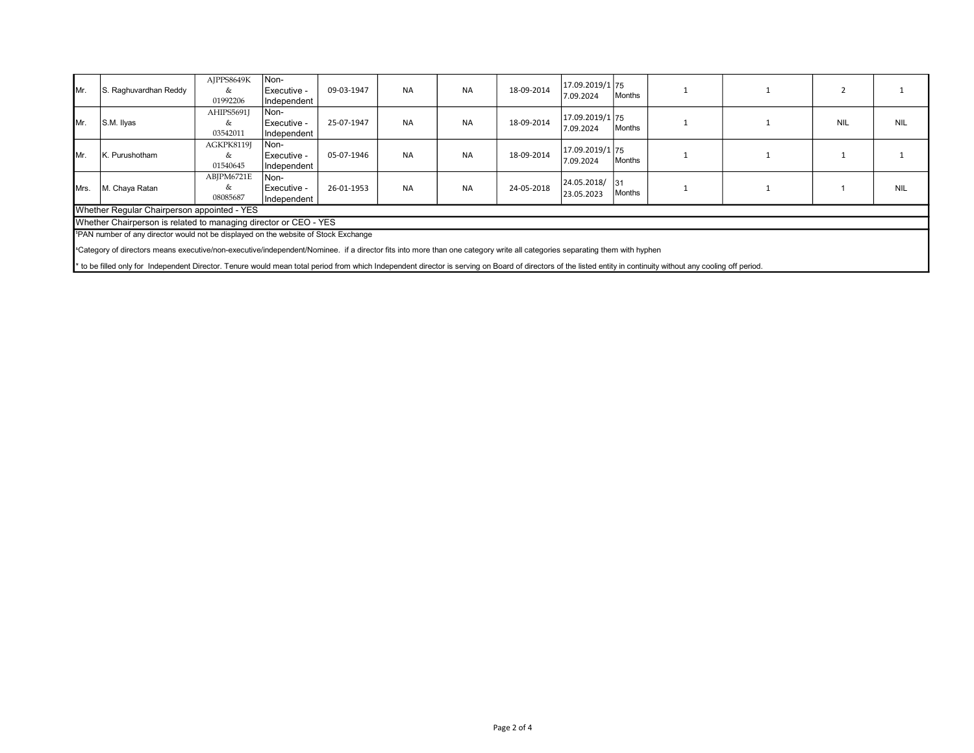| IMr.                                                                                                                                                                                  | S. Raghuvardhan Reddy | AJPPS8649K<br>&<br>01992206 | Non-<br>l Executive -<br>Independent | 09-03-1947 | <b>NA</b> | <b>NA</b> | 18-09-2014 | 17.09.2019/1 75<br>7.09.2024   | Months               |  |            |            |
|---------------------------------------------------------------------------------------------------------------------------------------------------------------------------------------|-----------------------|-----------------------------|--------------------------------------|------------|-----------|-----------|------------|--------------------------------|----------------------|--|------------|------------|
| Im <sub>r</sub>                                                                                                                                                                       | S.M. Ilyas            | AHIPS5691J<br>&<br>03542011 | Non-<br>l Executive -<br>Independent | 25-07-1947 | <b>NA</b> | <b>NA</b> | 18-09-2014 | 17.09.2019/1 75<br>7.09.2024   | lMonths              |  | <b>NIL</b> | <b>NIL</b> |
| IMr.                                                                                                                                                                                  | K. Purushotham        | AGKPK8119J<br>&<br>01540645 | Non-<br>l Executive -<br>Independent | 05-07-1946 | <b>NA</b> | <b>NA</b> | 18-09-2014 | 17.09.2019/1   75<br>7.09.2024 | Months               |  |            |            |
| Mrs.                                                                                                                                                                                  | M. Chaya Ratan        | ABJPM6721E<br>&<br>08085687 | Non-<br>Executive -<br>Independent   | 26-01-1953 | <b>NA</b> | <b>NA</b> | 24-05-2018 | 24.05.2018/<br>23.05.2023      | $\vert$ 31<br>Months |  |            | <b>NIL</b> |
| Whether Regular Chairperson appointed - YES                                                                                                                                           |                       |                             |                                      |            |           |           |            |                                |                      |  |            |            |
| Whether Chairperson is related to managing director or CEO - YES                                                                                                                      |                       |                             |                                      |            |           |           |            |                                |                      |  |            |            |
| I <sup>s</sup> PAN number of any director would not be displayed on the website of Stock Exchange                                                                                     |                       |                             |                                      |            |           |           |            |                                |                      |  |            |            |
| <sup>a</sup> Category of directors means executive/non-executive/independent/Nominee. if a director fits into more than one category write all categories separating them with hyphen |                       |                             |                                      |            |           |           |            |                                |                      |  |            |            |

\* to be filled only for Independent Director. Tenure would mean total period from which Independent director is serving on Board of directors of the listed entity in continuity without any cooling off period.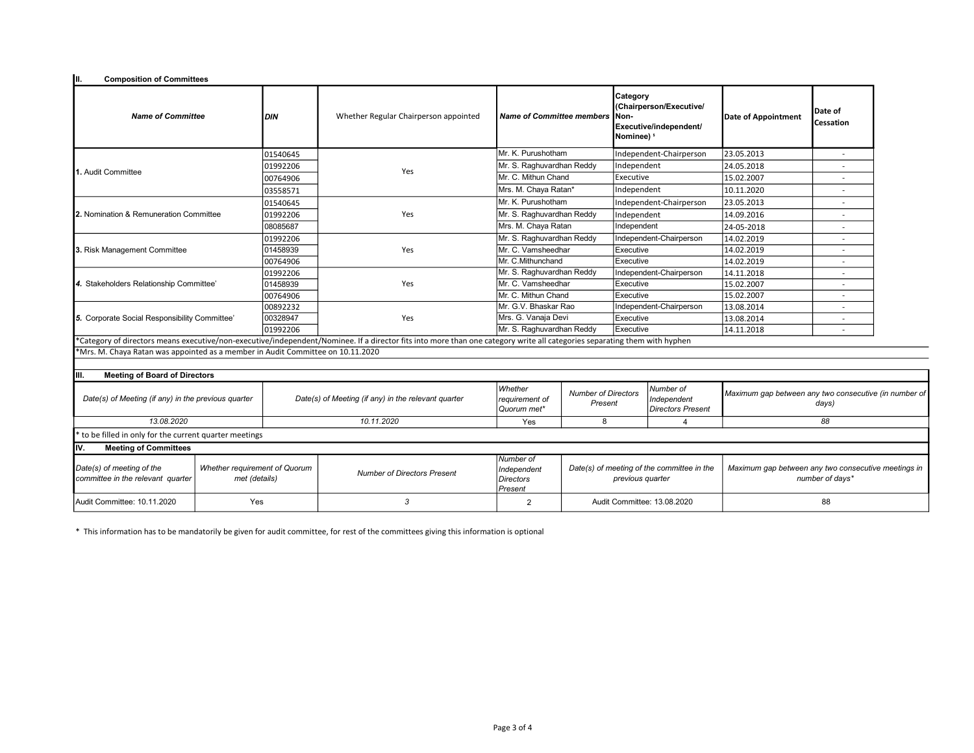| Iш.<br><b>Composition of Committees</b>                                         |                                                |            |                                                                                                                                                                           |                                                         |                                                                |                         |                                                                                        |                                                                        |                      |  |
|---------------------------------------------------------------------------------|------------------------------------------------|------------|---------------------------------------------------------------------------------------------------------------------------------------------------------------------------|---------------------------------------------------------|----------------------------------------------------------------|-------------------------|----------------------------------------------------------------------------------------|------------------------------------------------------------------------|----------------------|--|
| <b>Name of Committee</b>                                                        |                                                | DIN        | Whether Regular Chairperson appointed                                                                                                                                     |                                                         | Name of Committee members<br>INon-                             |                         | Category<br>(Chairperson/Executive/<br>Executive/independent/<br>Nominee) <sup>s</sup> | Date of Appointment                                                    | Date of<br>Cessation |  |
|                                                                                 |                                                | 01540645   |                                                                                                                                                                           | Mr. K. Purushotham                                      |                                                                |                         | Independent-Chairperson                                                                | 23.05.2013                                                             |                      |  |
|                                                                                 |                                                | 01992206   |                                                                                                                                                                           |                                                         | Mr. S. Raghuvardhan Reddy                                      |                         | Independent                                                                            | 24.05.2018                                                             |                      |  |
| 1. Audit Committee                                                              |                                                | 00764906   | Yes                                                                                                                                                                       | Mr. C. Mithun Chand                                     |                                                                | Executive               |                                                                                        | 15.02.2007                                                             |                      |  |
|                                                                                 |                                                | 03558571   |                                                                                                                                                                           | Mrs. M. Chaya Ratan*                                    |                                                                | Independent             |                                                                                        | 10.11.2020                                                             |                      |  |
|                                                                                 |                                                | 01540645   |                                                                                                                                                                           | Mr. K. Purushotham                                      |                                                                | Independent-Chairperson |                                                                                        | 23.05.2013                                                             |                      |  |
| <b>12.</b> Nomination & Remuneration Committee                                  |                                                | 01992206   | Yes                                                                                                                                                                       | Mr. S. Raghuvardhan Reddy                               |                                                                | Independent             |                                                                                        | 14.09.2016                                                             |                      |  |
|                                                                                 |                                                | 08085687   |                                                                                                                                                                           | Mrs. M. Chaya Ratan                                     |                                                                | Independent             |                                                                                        | 24-05-2018                                                             |                      |  |
|                                                                                 |                                                | 01992206   |                                                                                                                                                                           | Mr. S. Raghuvardhan Reddy                               |                                                                |                         | Independent-Chairperson                                                                | 14.02.2019                                                             |                      |  |
| 3. Risk Management Committee                                                    |                                                | 01458939   | Yes                                                                                                                                                                       | Mr. C. Vamsheedhar                                      |                                                                | Executive               |                                                                                        | 14.02.2019                                                             |                      |  |
|                                                                                 |                                                | 00764906   |                                                                                                                                                                           | Mr. C.Mithunchand                                       | Executive                                                      |                         |                                                                                        | 14.02.2019                                                             | ٠                    |  |
| 4. Stakeholders Relationship Committee'                                         |                                                | 01992206   |                                                                                                                                                                           | Mr. S. Raghuvardhan Reddy                               |                                                                |                         | Independent-Chairperson                                                                | 14.11.2018                                                             | ÷                    |  |
|                                                                                 |                                                | 01458939   | Yes                                                                                                                                                                       | Mr. C. Vamsheedhar                                      | Executive                                                      |                         |                                                                                        | 15.02.2007                                                             | $\overline{a}$       |  |
|                                                                                 |                                                | 00764906   |                                                                                                                                                                           | Mr. C. Mithun Chand                                     |                                                                | Executive               |                                                                                        | 15.02.2007                                                             |                      |  |
|                                                                                 |                                                | 00892232   |                                                                                                                                                                           | Mr. G.V. Bhaskar Rao                                    |                                                                |                         | Independent-Chairperson                                                                | 13.08.2014                                                             |                      |  |
| 5. Corporate Social Responsibility Committee'                                   |                                                | 00328947   | Yes                                                                                                                                                                       | Mrs. G. Vanaja Devi                                     |                                                                | Executive               |                                                                                        | 13.08.2014                                                             |                      |  |
|                                                                                 |                                                | 01992206   |                                                                                                                                                                           | Mr. S. Raghuvardhan Reddy                               |                                                                | Executive               |                                                                                        | 14.11.2018                                                             |                      |  |
|                                                                                 |                                                |            | *Category of directors means executive/non-executive/independent/Nominee. If a director fits into more than one category write all categories separating them with hyphen |                                                         |                                                                |                         |                                                                                        |                                                                        |                      |  |
| *Mrs. M. Chaya Ratan was appointed as a member in Audit Committee on 10.11.2020 |                                                |            |                                                                                                                                                                           |                                                         |                                                                |                         |                                                                                        |                                                                        |                      |  |
| <b>Meeting of Board of Directors</b><br>IIII.                                   |                                                |            |                                                                                                                                                                           |                                                         |                                                                |                         |                                                                                        |                                                                        |                      |  |
| Date(s) of Meeting (if any) in the previous quarter                             |                                                |            | Date(s) of Meeting (if any) in the relevant quarter                                                                                                                       | Whether<br>reauirement of<br>Quorum met*                | Number of Directors<br>Present                                 |                         | Number of<br>Independent<br><b>Directors Present</b>                                   | Maximum gap between any two consecutive (in number of<br>days)         |                      |  |
| 13.08.2020                                                                      |                                                | 10.11.2020 | Yes                                                                                                                                                                       | 8                                                       |                                                                | $\overline{4}$          | 88                                                                                     |                                                                        |                      |  |
| to be filled in only for the current quarter meetings                           |                                                |            |                                                                                                                                                                           |                                                         |                                                                |                         |                                                                                        |                                                                        |                      |  |
| Iv.<br><b>Meeting of Committees</b>                                             |                                                |            |                                                                                                                                                                           |                                                         |                                                                |                         |                                                                                        |                                                                        |                      |  |
| Date(s) of meeting of the<br>committee in the relevant quarter                  | Whether requirement of Quorum<br>met (details) |            | <b>Number of Directors Present</b>                                                                                                                                        | Number of<br>Independent<br>Directors<br><i>Present</i> | Date(s) of meeting of the committee in the<br>previous quarter |                         |                                                                                        | Maximum gap between any two consecutive meetings in<br>number of days* |                      |  |
| Audit Committee: 10.11.2020                                                     | Yes                                            |            | 3                                                                                                                                                                         | 2                                                       | Audit Committee: 13.08.2020                                    |                         | 88                                                                                     |                                                                        |                      |  |

\* This information has to be mandatorily be given for audit committee, for rest of the committees giving this information is optional